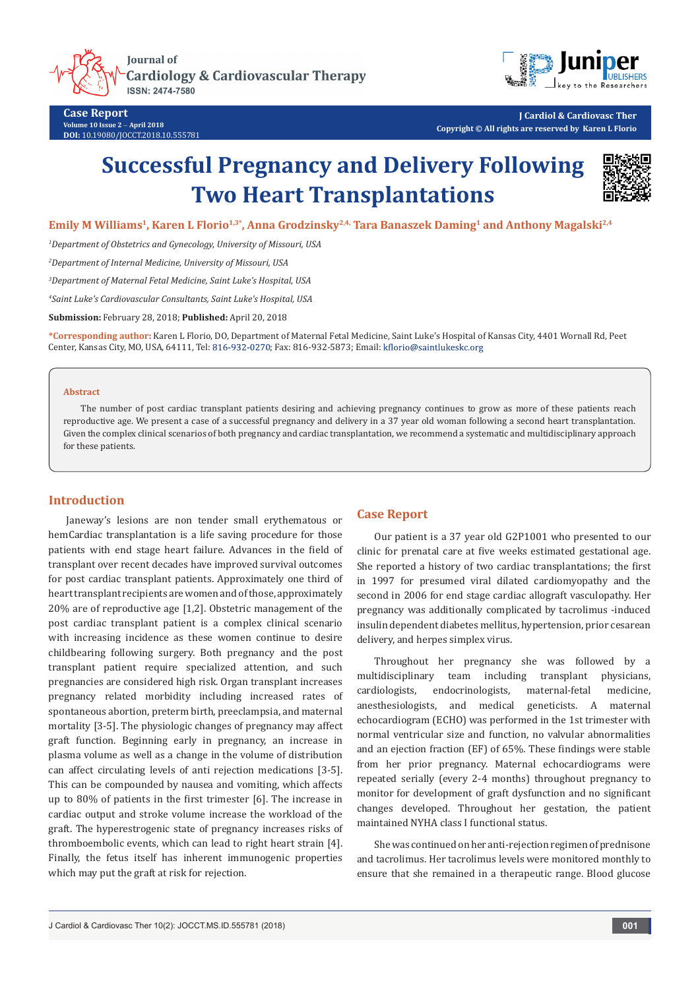



**Case Report Volume 10 Issue 2** - **April 2018 DOI:** [10.19080/JOCCT.2018.10.555781](http://dx.doi.org/10.19080/JOCCT.2018.10.555781)

**J Cardiol & Cardiovasc Ther Copyright © All rights are reserved by Karen L Florio**

# **Successful Pregnancy and Delivery Following Two Heart Transplantations**



Emily M Williams<sup>1</sup>, Karen L Florio<sup>1,3\*</sup>, Anna Grodzinsky<sup>2,4,</sup> Tara Banaszek Daming<sup>1</sup> and Anthony Magalski<sup>2,4</sup>

*1 Department of Obstetrics and Gynecology, University of Missouri, USA*

*2 Department of Internal Medicine, University of Missouri, USA*

*3 Department of Maternal Fetal Medicine, Saint Luke's Hospital, USA*

*4 Saint Luke's Cardiovascular Consultants, Saint Luke's Hospital, USA*

**Submission:** February 28, 2018; **Published:** April 20, 2018

**\*Corresponding author:** Karen L Florio, DO, Department of Maternal Fetal Medicine, Saint Luke's Hospital of Kansas City, 4401 Wornall Rd, Peet Center, Kansas City, MO, USA, 64111, Tel: 816-932-0270; Fax: 816-932-5873; Email: kflorio@saintlukeskc.org

#### **Abstract**

The number of post cardiac transplant patients desiring and achieving pregnancy continues to grow as more of these patients reach reproductive age. We present a case of a successful pregnancy and delivery in a 37 year old woman following a second heart transplantation. Given the complex clinical scenarios of both pregnancy and cardiac transplantation, we recommend a systematic and multidisciplinary approach for these patients.

## **Introduction**

Janeway's lesions are non tender small erythematous or hemCardiac transplantation is a life saving procedure for those patients with end stage heart failure. Advances in the field of transplant over recent decades have improved survival outcomes for post cardiac transplant patients. Approximately one third of heart transplant recipients are women and of those, approximately 20% are of reproductive age [1,2]. Obstetric management of the post cardiac transplant patient is a complex clinical scenario with increasing incidence as these women continue to desire childbearing following surgery. Both pregnancy and the post transplant patient require specialized attention, and such pregnancies are considered high risk. Organ transplant increases pregnancy related morbidity including increased rates of spontaneous abortion, preterm birth, preeclampsia, and maternal mortality [3-5]. The physiologic changes of pregnancy may affect graft function. Beginning early in pregnancy, an increase in plasma volume as well as a change in the volume of distribution can affect circulating levels of anti rejection medications [3-5]. This can be compounded by nausea and vomiting, which affects up to 80% of patients in the first trimester [6]. The increase in cardiac output and stroke volume increase the workload of the graft. The hyperestrogenic state of pregnancy increases risks of thromboembolic events, which can lead to right heart strain [4]. Finally, the fetus itself has inherent immunogenic properties which may put the graft at risk for rejection.

### **Case Report**

Our patient is a 37 year old G2P1001 who presented to our clinic for prenatal care at five weeks estimated gestational age. She reported a history of two cardiac transplantations; the first in 1997 for presumed viral dilated cardiomyopathy and the second in 2006 for end stage cardiac allograft vasculopathy. Her pregnancy was additionally complicated by tacrolimus -induced insulin dependent diabetes mellitus, hypertension, prior cesarean delivery, and herpes simplex virus.

Throughout her pregnancy she was followed by a multidisciplinary team including transplant physicians, cardiologists, endocrinologists, maternal-fetal medicine, anesthesiologists, and medical geneticists. A maternal echocardiogram (ECHO) was performed in the 1st trimester with normal ventricular size and function, no valvular abnormalities and an ejection fraction (EF) of 65%. These findings were stable from her prior pregnancy. Maternal echocardiograms were repeated serially (every 2-4 months) throughout pregnancy to monitor for development of graft dysfunction and no significant changes developed. Throughout her gestation, the patient maintained NYHA class I functional status.

She was continued on her anti-rejection regimen of prednisone and tacrolimus. Her tacrolimus levels were monitored monthly to ensure that she remained in a therapeutic range. Blood glucose